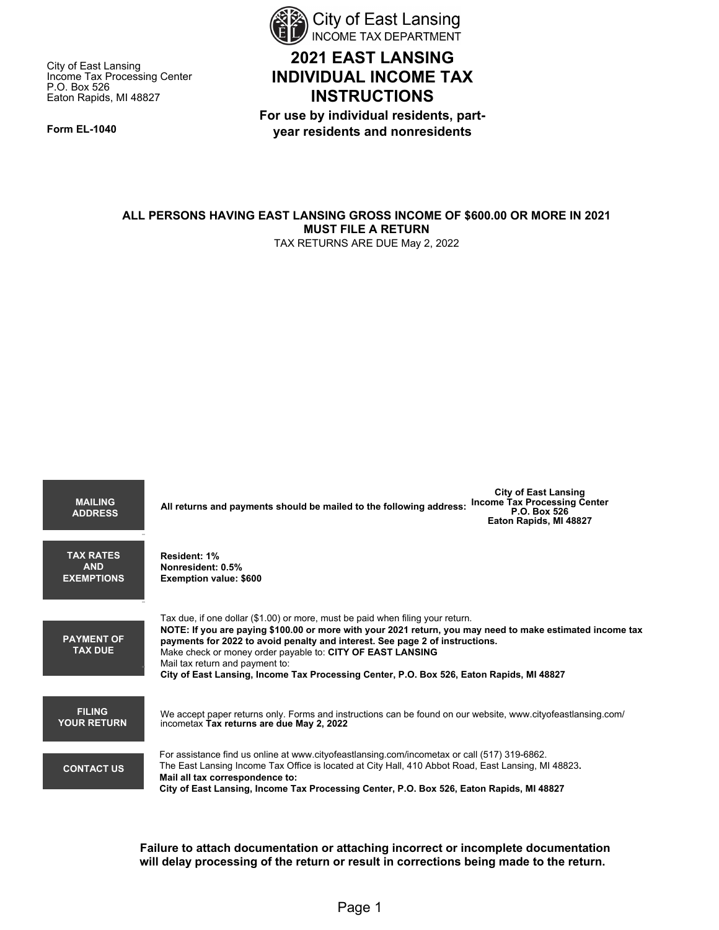

# **2021 EAST LANSING INDIVIDUAL INCOME TAX INSTRUCTIONS**

**For use by individual residents, partyear residents and nonresidents** 

Eaton Rapids, MI 48827

P.O. Box 526

**Form EL-1040** 

City of East Lansing

Income Tax Processing Center

**ALL PERSONS HAVING EAST LANSING GROSS INCOME OF \$600.00 OR MORE IN 2021 MUST FILE A RETURN** TAX RETURNS ARE DUE May 2, 2022

| <b>MAILING</b><br><b>ADDRESS</b>                    | <b>City of East Lansing</b><br><b>Income Tax Processing Center</b><br>All returns and payments should be mailed to the following address:<br>P.O. Box 526<br>Eaton Rapids, MI 48827                                                                                                                                                                                                                                                                                      |
|-----------------------------------------------------|--------------------------------------------------------------------------------------------------------------------------------------------------------------------------------------------------------------------------------------------------------------------------------------------------------------------------------------------------------------------------------------------------------------------------------------------------------------------------|
| <b>TAX RATES</b><br><b>AND</b><br><b>EXEMPTIONS</b> | Resident: 1%<br>Nonresident: 0.5%<br><b>Exemption value: \$600</b>                                                                                                                                                                                                                                                                                                                                                                                                       |
| <b>PAYMENT OF</b><br><b>TAX DUE</b>                 | Tax due, if one dollar (\$1.00) or more, must be paid when filing your return.<br>NOTE: If you are paying \$100.00 or more with your 2021 return, you may need to make estimated income tax<br>payments for 2022 to avoid penalty and interest. See page 2 of instructions.<br>Make check or money order payable to: CITY OF EAST LANSING<br>Mail tax return and payment to:<br>City of East Lansing, Income Tax Processing Center, P.O. Box 526, Eaton Rapids, MI 48827 |
| <b>FILING</b><br><b>YOUR RETURN</b>                 | We accept paper returns only. Forms and instructions can be found on our website, www.cityofeastlansing.com/<br>incometax Tax returns are due May 2, 2022                                                                                                                                                                                                                                                                                                                |
| <b>CONTACT US</b>                                   | For assistance find us online at www.cityofeastlansing.com/incometax or call (517) 319-6862.<br>The East Lansing Income Tax Office is located at City Hall, 410 Abbot Road, East Lansing, MI 48823.<br>Mail all tax correspondence to:<br>City of East Lansing, Income Tax Processing Center, P.O. Box 526, Eaton Rapids, MI 48827                                                                                                                                       |

**Failure to attach documentation or attaching incorrect or incomplete documentation will delay processing of the return or result in corrections being made to the return.**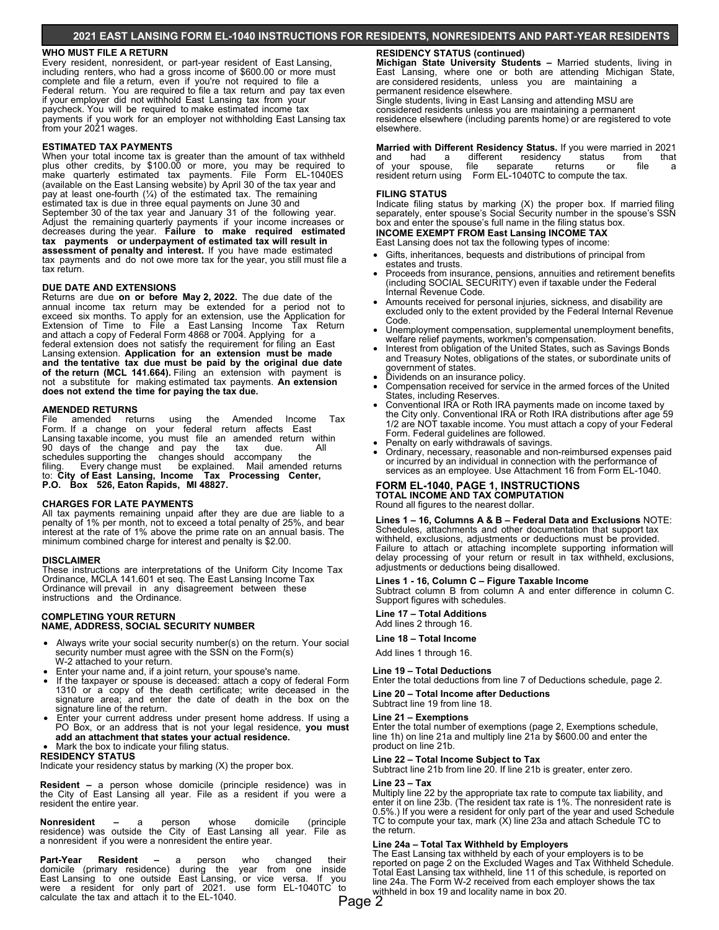# **2021 EAST LANSING FORM EL-1040 INSTRUCTIONS FOR RESIDENTS, NONRESIDENTS AND PART-YEAR RESIDENTS**

## **WHO MUST FILE A RETURN**

Every resident, nonresident, or part-year resident of East Lansing, including renters, who had a gross income of \$600.00 or more must complete and file a return, even if you're not required to file a Federal return. You are required to file a tax return and pay tax even if your employer did not withhold East Lansing tax from your paycheck. You will be required to make estimated income tax payments if you work for an employer not withholding East Lansing tax from your 2021 wages.

### **ESTIMATED TAX PAYMENTS**

When your total income tax is greater than the amount of tax withheld plus other credits, by \$100.00 or more, you may be required to make quarterly estimated tax payments. File Form EL-1040ES (available on the East Lansing website) by April 30 of the tax year and pay at least one-fourth (¼) of the estimated tax. The remaining estimated tax is due in three equal payments on June 30 and September 30 of the tax year and January 31 of the following year. Adjust the remaining quarterly payments if your income increases or decreases during the year. **Failure to make required estimated tax payments or underpayment of estimated tax will result in assessment of penalty and interest.** If you have made estimated tax payments and do not owe more tax for the year, you still must file a tax return.

#### **DUE DATE AND EXTENSIONS**

and allach a copy of Federal Form 4000 or 7004. Applying from a<br>federal extension does not satisfy the requirement for filing an East  **and the tentative tax due must be paid by the original due date of the return (MCL 141.664).** Filing an extension with payment is Returns are due **on or before May 2, 2022.** The due date of the annual income tax return may be extended for a period not to exceed six months. To apply for an extension, use the Application for Extension of Time to File a East Lansing Income Tax Return and attach a copy of Federal Form 4868 or 7004. Applying for a Lansing extension. **Application for an extension must be made**  not a substitute for making estimated tax payments. **An extension does not extend the time for paying the tax due.**

# **AMENDED RETURNS**<br>File amended refu

File amended returns using the Amended Income Tax Form. If a change on your federal return affects East Lansing taxable income, you must file an amended return within 90 days of the change and pay the tax due. All schedules supporting the changes should accompany the filing. Every change must be explained. Mail amended returns to: **City of East Lansing, Income Tax Processing Center, P.O. Box 526, Eaton Rapids, MI 48827.**

#### **CHARGES FOR LATE PAYMENTS**

All tax payments remaining unpaid after they are due are liable to a penalty of 1% per month, not to exceed a total penalty of 25%, and bear interest at the rate of 1% above the prime rate on an annual basis. The minimum combined charge for interest and penalty is \$2.00.

#### **DISCLAIMER**

These instructions are interpretations of the Uniform City Income Tax Ordinance, MCLA 141.601 et seq. The East Lansing Income Tax Ordinance will prevail in any disagreement between these instructions and the Ordinance.

#### **COMPLETING YOUR RETURN NAME, ADDRESS, SOCIAL SECURITY NUMBER**

- Always write your social security number(s) on the return. Your social security number must agree with the SSN on the Form(s) W-2 attached to your return.
- Enter your name and, if a joint return, your spouse's name.
- If the taxpayer or spouse is deceased: attach a copy of federal Form 1310 or a copy of the death certificate; write deceased in the signature area; and enter the date of death in the box on the signature line of the return.
- Enter your current address under present home address. If using a PO Box, or an address that is not your legal residence, **you must add an attachment that states your actual residence.** • Mark the box to indicate your filing status.

# **RESIDENCY STATUS**

Indicate your residency status by marking (X) the proper box.

**Resident –** a person whose domicile (principle residence) was in the City of East Lansing all year. File as a resident if you were a resident the entire year.

**Nonresident –** a person whose domicile (principle residence) was outside the City of East Lansing all year. File as a nonresident if you were a nonresident the entire year.

**Part-Year Resident –** a person who changed their domicile (primary residence) during the year from one inside East Lansing to one outside East Lansing, or vice versa. If you were a resident for only part of 2021. use form EL-1040TC to calculate the tax and attach it to the EL-1040.

## **RESIDENCY STATUS (continued)**

**Michigan State University Students –** Married students, living in East Lansing, where one or both are attending Michigan State, are considered residents, unless you are maintaining a permanent residence elsewhere.

Single students, living in East Lansing and attending MSU are considered residents unless you are maintaining a permanent residence elsewhere (including parents home) or are registered to vote elsewhere.

**Married with Different Residency Status.** If you were married in 2021 and had a different residency status from that and had a different residency status from that of your spouse, file separate returns or file a resident return using Form EL-1040TC to compute the tax.

#### **FILING STATUS**

Indicate filing status by marking (X) the proper box. If married filing separately, enter spouse's Social Security number in the spouse's SSN box and enter the spouse's full name in the filing status box.

**INCOME EXEMPT FROM East Lansing INCOME TAX** East Lansing does not tax the following types of income:

- Gifts, inheritances, bequests and distributions of principal from estates and trusts.
- Proceeds from insurance, pensions, annuities and retirement benefits (including SOCIAL SECURITY) even if taxable under the Federal Internal Revenue Code.
- excluded only to the extent provided by the Federal Internal Revenue • Amounts received for personal injuries, sickness, and disability are Code.
- Unemployment compensation, supplemental unemployment benefits, welfare relief payments, workmen's compensation.
- Interest from obligation of the United States, such as Savings Bonds and Treasury Notes, obligations of the states, or subordinate units of
- government of states. Dividends on an insurance policy.
- í • Compensation received for service in the armed forces of the United States, including Reserves.
- Conventional IRA or Roth IRA payments made on income taxed by the City only. Conventional IRA or Roth IRA distributions after age 59 1/2 are NOT taxable income. You must attach a copy of your Federal Form. Federal guidelines are followed.
- Penalty on early withdrawals of savings.
- or incurred by an individual in connection with the performance of • Ordinary, necessary, reasonable and non-reimbursed expenses paid services as an employee. Use Attachment 16 from Form EL-1040.

# **FORM EL-1040, PAGE 1, INSTRUCTIONS TOTAL INCOME AND TAX COMPUTATION**

Round all figures to the nearest dollar.

**Lines 1 – 16, Columns A & B – Federal Data and Exclusions** NOTE: Schedules, attachments and other documentation that support tax withheld, exclusions, adjustments or deductions must be provided. Failure to attach or attaching incomplete supporting information will delay processing of your return or result in tax withheld, exclusions, adjustments or deductions being disallowed.

**Lines 1 - 16, Column C – Figure Taxable Income** 

Subtract column B from column A and enter difference in column C. Support figures with schedules.

# **Line 17 – Total Additions**

Add lines 2 through 16.

**Line 18 – Total Income**

Add lines 1 through 16.

#### **Line 19 – Total Deductions**

Enter the total deductions from line 7 of Deductions schedule, page 2.

**Line 20 – Total Income after Deductions**

# Subtract line 19 from line 18.

**Line 21 – Exemptions** Enter the total number of exemptions (page 2, Exemptions schedule, line 1h) on line 21a and multiply line 21a by \$600.00 and enter the product on line 21b.

**Line 22 – Total Income Subject to Tax** Subtract line 21b from line 20. If line 21b is greater, enter zero.

#### **Line 23 – Tax**

 TC to compute your tax, mark (X) line 23a and attach Schedule TC to Multiply line 22 by the appropriate tax rate to compute tax liability, and enter it on line 23b. (The resident tax rate is 1%. The nonresident rate is 0.5%.) If you were a resident for only part of the year and used Schedule the return.

# **Line 24a – Total Tax Withheld by Employers**

The East Lansing tax withheld by each of your employers is to be reported on page 2 on the Excluded Wages and Tax Withheld Schedule. Total East Lansing tax withheld, line 11 of this schedule, is reported on line 24a. The Form W-2 received from each employer shows the tax withheld in box 19 and locality name in box 20.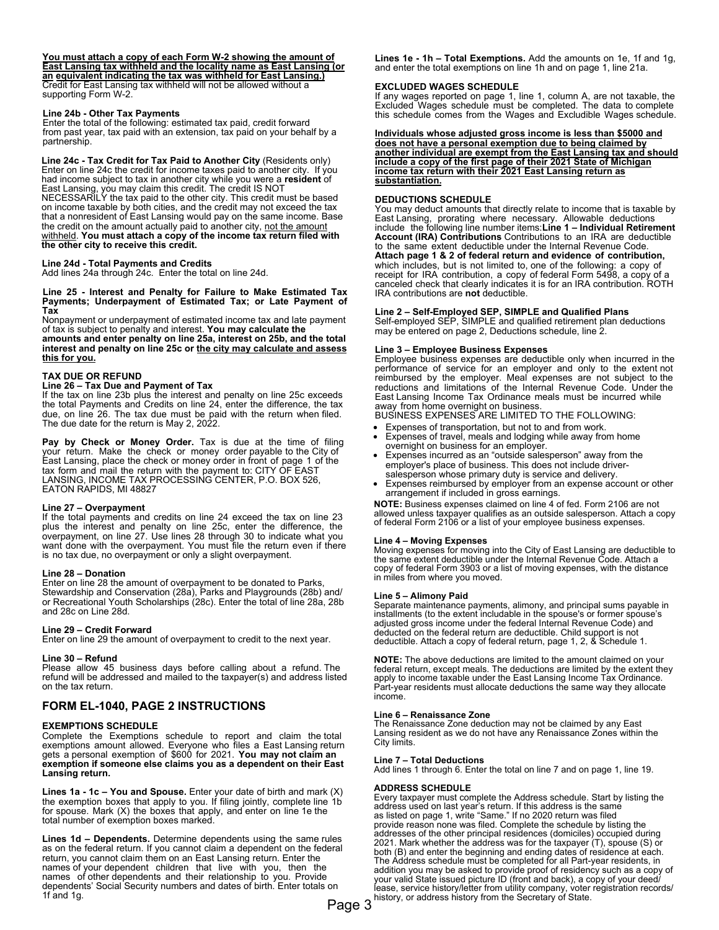### **You must attach a copy of each Form W-2 showing the amount of East Lansing tax withheld and the locality name as East Lansing (or an equivalent indicating the tax was withheld for East Lansing.)** Credit for East Lansing tax withheld will not be allowed without a supporting Form W-2.

#### **Line 24b - Other Tax Payments**

 from past year, tax paid with an extension, tax paid on your behalf by a Enter the total of the following: estimated tax paid, credit forward partnership.

 that a nonresident of East Lansing would pay on the same income. Base **Line 24c - Tax Credit for Tax Paid to Another City** (Residents only) Enter on line 24c the credit for income taxes paid to another city. If you had income subject to tax in another city while you were a **resident** of East Lansing, you may claim this credit. The credit IS NOT NECESSARILY the tax paid to the other city. This credit must be based on income taxable by both cities, and the credit may not exceed the tax the credit on the amount actually paid to another city, not the amount withheld. **You must attach a copy of the income tax return filed with the other city to receive this credit.**

#### **Line 24d - Total Payments and Credits**

Add lines 24a through 24c. Enter the total on line 24d.

**Line 25 - Interest and Penalty for Failure to Make Estimated Tax Payments; Underpayment of Estimated Tax; or Late Payment of Tax**

Nonpayment or underpayment of estimated income tax and late payment of tax is subject to penalty and interest. **You may calculate the** 

**amounts and enter penalty on line 25a, interest on 25b, and the total interest and penalty on line 25c or the city may calculate and assess this for you.**

### **TAX DUE OR REFUND**

## **Line 26 – Tax Due and Payment of Tax**

If the tax on line 23b plus the interest and penalty on line 25c exceeds the total Payments and Credits on line 24, enter the difference, the tax due, on line 26. The tax due must be paid with the return when filed. The due date for the return is May 2, 2022.

**Pay by Check or Money Order.** Tax is due at the time of filing your return. Make the check or money order payable to the City of East Lansing, place the check or money order in front of page 1 of the tax form and mail the return with the payment to: CITY OF EAST LANSING, INCOME TAX PROCESSING CENTER, P.O. BOX 526, EATON RAPIDS, MI 48827

#### **Line 27 – Overpayment**

If the total payments and credits on line 24 exceed the tax on line 23 plus the interest and penalty on line 25c, enter the difference, the overpayment, on line 27. Use lines 28 through 30 to indicate what you want done with the overpayment. You must file the return even if there is no tax due, no overpayment or only a slight overpayment.

#### **Line 28 – Donation**

Enter on line 28 the amount of overpayment to be donated to Parks, Stewardship and Conservation (28a), Parks and Playgrounds (28b) and/ or Recreational Youth Scholarships (28c). Enter the total of line 28a, 28b and 28c on Line 28d.

#### **Line 29 – Credit Forward**

Enter on line 29 the amount of overpayment to credit to the next year.

#### **Line 30 – Refund**

Please allow 45 business days before calling about a refund. The refund will be addressed and mailed to the taxpayer(s) and address listed on the tax return.

# **FORM EL-1040, PAGE 2 INSTRUCTIONS**

## **EXEMPTIONS SCHEDULE**

Complete the Exemptions schedule to report and claim the total exemptions amount allowed. Everyone who files a East Lansing return gets a personal exemption of \$600 for 2021. **You may not claim an exemption if someone else claims you as a dependent on their East Lansing return.**

**Lines 1a - 1c – You and Spouse.** Enter your date of birth and mark (X)<br>the exemption boxes that apply to you. If filing jointly, complete line 1b for spouse. Mark (X) the boxes that apply, and enter on line 1e the total number of exemption boxes marked.

**Lines 1d – Dependents.** Determine dependents using the same rules as on the federal return. If you cannot claim a dependent on the federal return, you cannot claim them on an East Lansing return. Enter the names of your dependent children that live with you, then the names of other dependents and their relationship to you. Provide dependents' Social Security numbers and dates of birth. Enter totals on 1f and 1g.

**Lines 1e - 1h – Total Exemptions.** Add the amounts on 1e, 1f and 1g, and enter the total exemptions on line 1h and on page 1, line 21a.

#### **EXCLUDED WAGES SCHEDULE**

If any wages reported on page 1, line 1, column A, are not taxable, the Excluded Wages schedule must be completed. The data to complete this schedule comes from the Wages and Excludible Wages schedule.

#### **Individuals whose adjusted gross income is less than \$5000 and does not have a personal exemption due to being claimed by another individual are exempt from the East Lansing tax and should include a copy of the first page of their 2021 State of Michigan income tax return with their 2021 East Lansing return as substantiation.**

## **DEDUCTIONS SCHEDULE**

You may deduct amounts that directly relate to income that is taxable by East Lansing, prorating where necessary. Allowable deductions include the following line number items:**Line 1 – Individual Retirement Account (IRA) Contributions** Contributions to an IRA are deductible to the same extent deductible under the Internal Revenue Code. **Attach page 1 & 2 of federal return and evidence of contribution,**  which includes, but is not limited to, one of the following: a copy of receipt for IRA contribution, a copy of federal Form 5498, a copy of a canceled check that clearly indicates it is for an IRA contribution. ROTH IRA contributions are **not** deductible.

**Line 2 – Self-Employed SEP, SIMPLE and Qualified Plans**  Self-employed SEP, SIMPLE and qualified retirement plan deductions may be entered on page 2, Deductions schedule, line 2.

#### **Line 3 – Employee Business Expenses**

**away from home overnight on business.**<br>BURINESS EXPENSES APE UMITED 7 Employee business expenses are deductible only when incurred in the performance of service for an employer and only to the extent not reimbursed by the employer. Meal expenses are not subject to the reductions and limitations of the Internal Revenue Code. Under the East Lansing Income Tax Ordinance meals must be incurred while

BUSINESS EXPENSES ARE LIMITED TO THE FOLLOWING:

- Expenses of transportation, but not to and from work.
- Expenses of travel, meals and lodging while away from home overnight on business for an employer.
- Expenses incurred as an "outside salesperson" away from the employer's place of business. This does not include driversalesperson whose primary duty is service and delivery.
- Expenses reimbursed by employer from an expense account or other arrangement if included in gross earnings.

**NOTE:** Business expenses claimed on line 4 of fed. Form 2106 are not allowed unless taxpayer qualifies as an outside salesperson. Attach a copy of federal Form 2106 or a list of your employee business expenses.

### **Line 4 – Moving Expenses**

Moving expenses for moving into the City of East Lansing are deductible to the same extent deductible under the Internal Revenue Code. Attach a copy of federal Form 3903 or a list of moving expenses, with the distance in miles from where you moved.

#### **Line 5 – Alimony Paid**

Separate maintenance payments, alimony, and principal sums payable in installments (to the extent includable in the spouse's or former spouse's adjusted gross income under the federal Internal Revenue Code) and deducted on the federal return are deductible. Child support is not deductible. Attach a copy of federal return, page 1, 2, & Schedule 1.

**NOTE:** The above deductions are limited to the amount claimed on your federal return, except meals. The deductions are limited by the extent they apply to income taxable under the East Lansing Income Tax Ordinance. Part-year residents must allocate deductions the same way they allocate income.

#### **Line 6 – Renaissance Zone**

The Renaissance Zone deduction may not be claimed by any East Lansing resident as we do not have any Renaissance Zones within the City limits.

#### **Line 7 – Total Deductions**

Add lines 1 through 6. Enter the total on line 7 and on page 1, line 19.

#### **ADDRESS SCHEDULE**

Every taxpayer must complete the Address schedule. Start by listing the address used on last year's return. If this address is the same as listed on page 1, write "Same." If no 2020 return was filed provide reason none was filed. Complete the schedule by listing the addresses of the other principal residences (domiciles) occupied during 2021. Mark whether the address was for the taxpayer (T), spouse (S) or both (B) and enter the beginning and ending dates of residence at each. The Address schedule must be completed for all Part-year residents, in addition you may be asked to provide proof of residency such as a copy of your valid State issued picture ID (front and back), a copy of your deed/ lease, service history/letter from utility company, voter registration records/  $\mathsf{Page}\ 3$  history, or address history from the Secretary of State.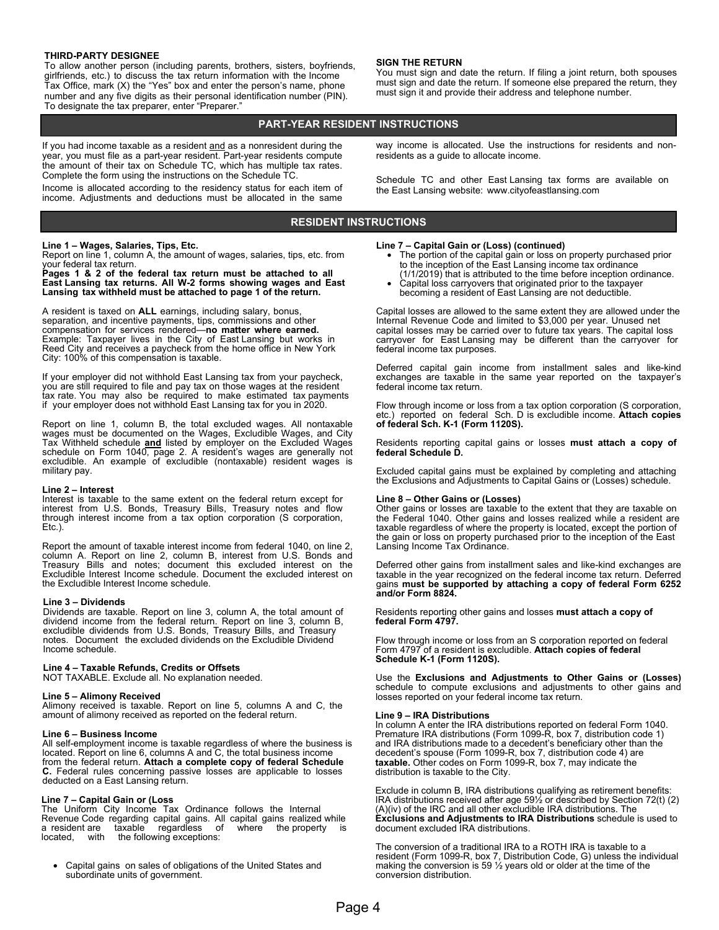#### **THIRD-PARTY DESIGNEE**

To allow another person (including parents, brothers, sisters, boyfriends, girlfriends, etc.) to discuss the tax return information with the Income Tax Office, mark (X) the "Yes" box and enter the person's name, phone number and any five digits as their personal identification number (PIN). To designate the tax preparer, enter "Preparer."

#### **SIGN THE RETURN**

You must sign and date the return. If filing a joint return, both spouses must sign and date the return. If someone else prepared the return, they must sign it and provide their address and telephone number.

way income is allocated. Use the instructions for residents and non-

Schedule TC and other East Lansing tax forms are available on

### **PART-YEAR RESIDENT INSTRUCTIONS**

If you had income taxable as a resident and as a nonresident during the year, you must file as a part-year resident. Part-year residents compute the amount of their tax on Schedule TC, which has multiple tax rates. Complete the form using the instructions on the Schedule TC.

Income is allocated according to the residency status for each item of income. Adjustments and deductions must be allocated in the same

# **RESIDENT INSTRUCTIONS**

#### **Line 1 – Wages, Salaries, Tips, Etc.**

Report on line 1, column A, the amount of wages, salaries, tips, etc. from your federal tax return.

# **Pages 1 & 2 of the federal tax return must be attached to all East Lansing tax returns. All W-2 forms showing wages and East Lansing tax withheld must be attached to page 1 of the return.**

A resident is taxed on **ALL** earnings, including salary, bonus, separation, and incentive payments, tips, commissions and other compensation for services rendered—**no matter where earned.**  Example: Taxpayer lives in the City of East Lansing but works in Reed City and receives a paycheck from the home office in New York City: 100% of this compensation is taxable.

If your employer did not withhold East Lansing tax from your paycheck, you are still required to file and pay tax on those wages at the resident tax rate. You may also be required to make estimated tax payments if your employer does not withhold East Lansing tax for you in 2020.

Report on line 1, column B, the total excluded wages. All nontaxable wages must be documented on the Wages, Excludible Wages, and City Tax Withheld schedule **and** listed by employer on the Excluded Wages schedule on Form 1040, page 2. A resident's wages are generally not excludible. An example of excludible (nontaxable) resident wages is military pay.

#### **Line 2 – Interest**

through interest income from a tax option corporation (S corporation, Ftc.) Interest is taxable to the same extent on the federal return except for interest from U.S. Bonds, Treasury Bills, Treasury notes and flow Etc.).

Report the amount of taxable interest income from federal 1040, on line 2, column A. Report on line 2, column B, interest from U.S. Bonds and Treasury Bills and notes; document this excluded interest on the Excludible Interest Income schedule. Document the excluded interest on the Excludible Interest Income schedule.

#### **Line 3 – Dividends**

Dividends are taxable. Report on line 3, column A, the total amount of dividend income from the federal return. Report on line 3, column B, excludible dividends from U.S. Bonds, Treasury Bills, and Treasury notes. Document the excluded dividends on the Excludible Dividend Income schedule.

#### **Line 4 – Taxable Refunds, Credits or Offsets**

NOT TAXABLE. Exclude all. No explanation needed.

#### **Line 5 – Alimony Received**

Alimony received is taxable. Report on line 5, columns A and C, the amount of alimony received as reported on the federal return.

#### **Line 6 – Business Income**

 located. Report on line 6, columns A and C, the total business income All self-employment income is taxable regardless of where the business is from the federal return. **Attach a complete copy of federal Schedule C.** Federal rules concerning passive losses are applicable to losses deducted on a East Lansing return.

#### **Line 7 – Capital Gain or (Loss**

The Uniform City Income Tax Ordinance follows the Internal Revenue Code regarding capital gains. All capital gains realized while a resident are taxable regardless of where the property is located, with the following exceptions:

• Capital gains on sales of obligations of the United States and subordinate units of government.

the East Lansing website: www.cityofeastlansing.com

residents as a guide to allocate income.

- **Line 7 Capital Gain or (Loss) (continued)** The portion of the capital gain or loss on property purchased prior to the inception of the East Lansing income tax ordinance
	- (1/1/2019) that is attributed to the time before inception ordinance. Capital loss carryovers that originated prior to the taxpayer becoming a resident of East Lansing are not deductible.

Capital losses are allowed to the same extent they are allowed under the Internal Revenue Code and limited to \$3,000 per year. Unused net capital losses may be carried over to future tax years. The capital loss carryover for East Lansing may be different than the carryover for federal income tax purposes.

Deferred capital gain income from installment sales and like-kind exchanges are taxable in the same year reported on the taxpayer's federal income tax return.

Flow through income or loss from a tax option corporation (S corporation, etc.) reported on federal Sch. D is excludible income. **Attach copies of federal Sch. K-1 (Form 1120S).**

Residents reporting capital gains or losses **must attach a copy of federal Schedule D.**

Excluded capital gains must be explained by completing and attaching the Exclusions and Adjustments to Capital Gains or (Losses) schedule.

**Line 8 – Other Gains or (Losses)**  Other gains or losses are taxable to the extent that they are taxable on the Federal 1040. Other gains and losses realized while a resident are taxable regardless of where the property is located, except the portion of the gain or loss on property purchased prior to the inception of the East Lansing Income Tax Ordinance.

Deferred other gains from installment sales and like-kind exchanges are taxable in the year recognized on the federal income tax return. Deferred gains **must be supported by attaching a copy of federal Form 6252 and/or Form 8824.**

Residents reporting other gains and losses **must attach a copy of federal Form 4797.**

Flow through income or loss from an S corporation reported on federal Form 4797 of a resident is excludible. **Attach copies of federal Schedule K-1 (Form 1120S).**

Use the **Exclusions and Adjustments to Other Gains or (Losses)** schedule to compute exclusions and adjustments to other gains and losses reported on your federal income tax return.

#### **Line 9 – IRA Distributions**

In column A enter the IRA distributions reported on federal Form 1040. Premature IRA distributions (Form 1099-R, box 7, distribution code 1) and IRA distributions made to a decedent's beneficiary other than the decedent's spouse (Form 1099-R, box 7, distribution code 4) are **taxable.** Other codes on Form 1099-R, box 7, may indicate the distribution is taxable to the City.

Exclude in column B, IRA distributions qualifying as retirement benefits: IRA distributions received after age 59½ or described by Section 72(t) (2) (A)(iv) of the IRC and all other excludible IRA distributions. The **Exclusions and Adjustments to IRA Distributions** schedule is used to document excluded IRA distributions.

The conversion of a traditional IRA to a ROTH IRA is taxable to a resident (Form 1099-R, box 7, Distribution Code, G) unless the individual making the conversion is 59 ½ years old or older at the time of the conversion distribution.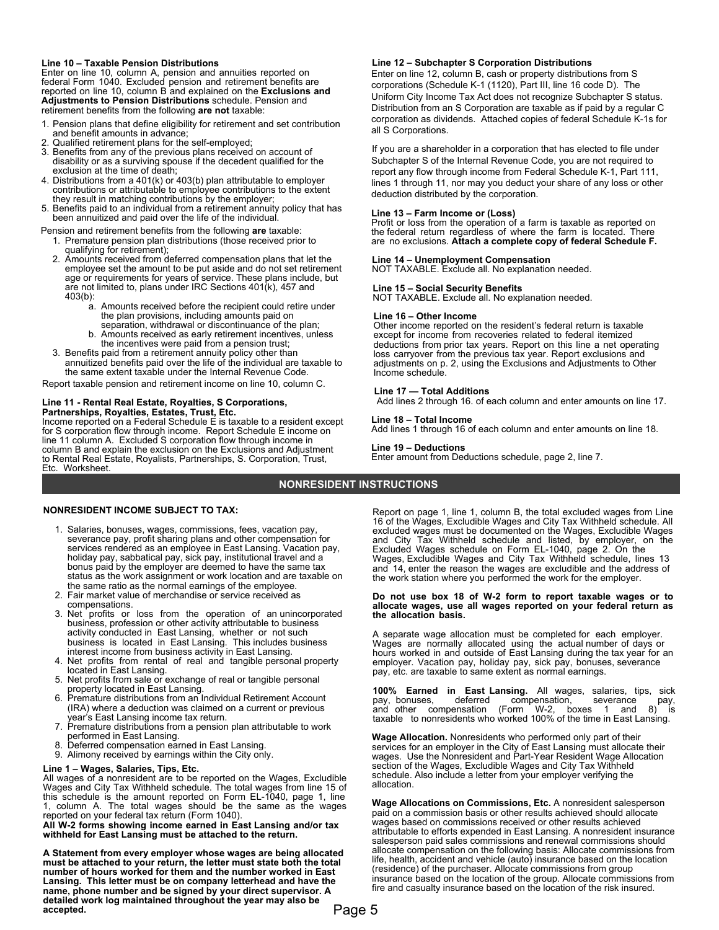**Line 10 – Taxable Pension Distributions**  Enter on line 10, column A, pension and annuities reported on federal Form 1040. Excluded pension and retirement benefits are reported on line 10, column B and explained on the **Exclusions and Adjustments to Pension Distributions** schedule. Pension and retirement benefits from the following **are not** taxable:

- 1. Pension plans that define eligibility for retirement and set contribution and benefit amounts in advance;
- 
- 2. Qualified retirement plans for the self-employed; 3. Benefits from any of the previous plans received on account of disability or as a surviving spouse if the decedent qualified for the exclusion at the time of death;
- 4. Distributions from a 401(k) or 403(b) plan attributable to employer contributions or attributable to employee contributions to the extent they result in matching contributions by the employer;
- 5. Benefits paid to an individual from a retirement annuity policy that has been annuitized and paid over the life of the individual.
- Pension and retirement benefits from the following **are** taxable:
- 1. Premature pension plan distributions (those received prior to qualifying for retirement);
- 2. Amounts received from deferred compensation plans that let the employee set the amount to be put aside and do not set retirement age or requirements for years of service. These plans include, but are not limited to, plans under IRC Sections 401(k), 457 and 403(b):
	- a. Amounts received before the recipient could retire under the plan provisions, including amounts paid on separation, withdrawal or discontinuance of the plan;
	- b. Amounts received as early retirement incentives, unless the incentives were paid from a pension trust;
- 3. Benefits paid from a retirement annuity policy other than annuitized benefits paid over the life of the individual are taxable to the same extent taxable under the Internal Revenue Code.

Report taxable pension and retirement income on line 10, column C.

# **Line 11 - Rental Real Estate, Royalties, S Corporations,**

**Partnerships, Royalties, Estates, Trust, Etc.**  Income reported on a Federal Schedule E is taxable to a resident except for S corporation flow through income. Report Schedule E income on line 11 column A. Excluded S corporation flow through income in column B and explain the exclusion on the Exclusions and Adjustment to Rental Real Estate, Royalists, Partnerships, S. Corporation, Trust, Etc. Worksheet.

# **Line 12 – Subchapter S Corporation Distributions**

Enter on line 12, column B, cash or property distributions from S corporations (Schedule K-1 (1120), Part III, line 16 code D). The Uniform City Income Tax Act does not recognize Subchapter S status. Distribution from an S Corporation are taxable as if paid by a regular C corporation as dividends. Attached copies of federal Schedule K-1s for all S Corporations.

If you are a shareholder in a corporation that has elected to file under Subchapter S of the Internal Revenue Code, you are not required to report any flow through income from Federal Schedule K-1, Part 111, lines 1 through 11, nor may you deduct your share of any loss or other deduction distributed by the corporation.

**Line 13 – Farm Income or (Loss)** Profit or loss from the operation of a farm is taxable as reported on the federal return regardless of where the farm is located. There are no exclusions. **Attach a complete copy of federal Schedule F.**

### **Line 14 – Unemployment Compensation**

NOT TAXABLE. Exclude all. No explanation needed.

# **Line 15 – Social Security Benefits**

NOT TAXABLE. Exclude all. No explanation needed.

### **Line 16 – Other Income**

Other income reported on the resident's federal return is taxable except for income from recoveries related to federal itemized deductions from prior tax years. Report on this line a net operating loss carryover from the previous tax year. Report exclusions and adjustments on p. 2, using the Exclusions and Adjustments to Other Income schedule.

# **Line 17 — Total Additions**

Add lines 2 through 16. of each column and enter amounts on line 17.

### **Line 18 – Total Income**

Add lines 1 through 16 of each column and enter amounts on line 18.

### **Line 19 – Deductions**

Enter amount from Deductions schedule, page 2, line 7.

# **NONRESIDENT INSTRUCTIONS**

# **NONRESIDENT INCOME SUBJECT TO TAX:**

- 1. Salaries, bonuses, wages, commissions, fees, vacation pay, severance pay, profit sharing plans and other compensation for services rendered as an employee in East Lansing. Vacation pay, holiday pay, sabbatical pay, sick pay, institutional travel and a bonus paid by the employer are deemed to have the same tax status as the work assignment or work location and are taxable on the same ratio as the normal earnings of the employee.
- 2. Fair market value of merchandise or service received as compensations.
- 3. Net profits or loss from the operation of an unincorporated business, profession or other activity attributable to business<br>activity conducted in East Lansing, whether or not such<br>business is located in East Lansing. This includes business<br>interest income from business act
- 4. Net profits from rental of real and tangible personal property located in East Lansing.
- 5. Net profits from sale or exchange of real or tangible personal property located in East Lansing.
- 6. Premature distributions from an Individual Retirement Account (IRA) where a deduction was claimed on a current or previous year's East Lansing income tax return.
- 7. Premature distributions from a pension plan attributable to work performed in East Lansing.
- 8. Deferred compensation earned in East Lansing.
- 9. Alimony received by earnings within the City only.

**Line 1 – Wages, Salaries, Tips, Etc.**  All wages of a nonresident are to be reported on the Wages, Excludible Wages and City Tax Withheld schedule. The total wages from line 15 of this schedule is the amount reported on Form EL-1040, page 1, line 1, column A. The total wages should be the same as the wages reported on your federal tax return (Form 1040).

**All W-2 forms showing income earned in East Lansing and/or tax withheld for East Lansing must be attached to the return.**

**A Statement from every employer whose wages are being allocated must be attached to your return, the letter must state both the total number of hours worked for them and the number worked in East Lansing. This letter must be on company letterhead and have the name, phone number and be signed by your direct supervisor. A detailed work log maintained throughout the year may also be accepted.**

Report on page 1, line 1, column B, the total excluded wages from Line 16 of the Wages, Excludible Wages and City Tax Withheld schedule. All excluded wages must be documented on the Wages, Excludible Wages and City Tax Withheld schedule and listed, by employer, on the Excluded Wages schedule on Form EL-1040, page 2. On the Wages, Excludible Wages and City Tax Withheld schedule, lines 13 and 14, enter the reason the wages are excludible and the address of the work station where you performed the work for the employer.

#### **Do not use box 18 of W-2 form to report taxable wages or to allocate wages, use all wages reported on your federal return as the allocation basis.**

A separate wage allocation must be completed for each employer. Wages are normally allocated using the actual number of days or hours worked in and outside of East Lansing during the tax year for an employer. Vacation pay, holiday pay, sick pay, bonuses, severance pay, etc. are taxable to same extent as normal earnings.

**100% Earned in East Lansing.** All wages, salaries, tips, sick pay, bonuses, deferred compensation, severance pay, and other compensation (Form W-2, boxes 1 and 8) is taxable to nonresidents who worked 100% of the time in East Lansing.

**Wage Allocation.** Nonresidents who performed only part of their services for an employer in the City of East Lansing must allocate their wages. Use the Nonresident and Part-Year Resident Wage Allocation section of the Wages, Excludible Wages and City Tax Withheld schedule. Also include a letter from your employer verifying the allocation.

**Wage Allocations on Commissions, Etc.** A nonresident salesperson paid on a commission basis or other results achieved should allocate wages based on commissions received or other results achieved attributable to efforts expended in East Lansing. A nonresident insurance salesperson paid sales commissions and renewal commissions should allocate compensation on the following basis: Allocate commissions from life, health, accident and vehicle (auto) insurance based on the location (residence) of the purchaser. Allocate commissions from group insurance based on the location of the group. Allocate commissions from fire and casualty insurance based on the location of the risk insured.